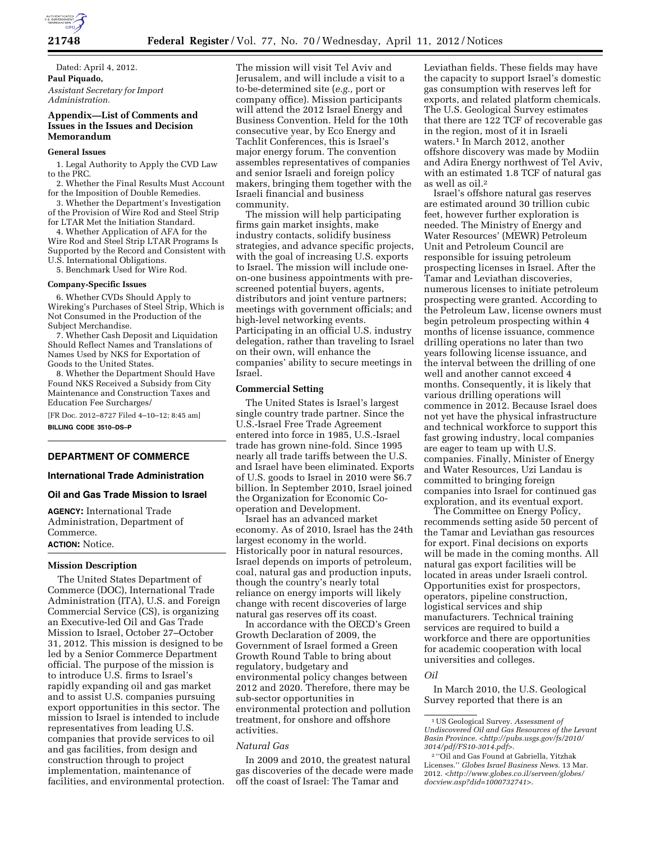

Dated: April 4, 2012. **Paul Piquado,**  *Assistant Secretary for Import Administration.* 

# **Appendix—List of Comments and Issues in the Issues and Decision Memorandum**

### **General Issues**

1. Legal Authority to Apply the CVD Law to the PRC.

2. Whether the Final Results Must Account for the Imposition of Double Remedies.

3. Whether the Department's Investigation of the Provision of Wire Rod and Steel Strip for LTAR Met the Initiation Standard.

4. Whether Application of AFA for the Wire Rod and Steel Strip LTAR Programs Is Supported by the Record and Consistent with U.S. International Obligations.

5. Benchmark Used for Wire Rod.

#### **Company-Specific Issues**

6. Whether CVDs Should Apply to Wireking's Purchases of Steel Strip, Which is Not Consumed in the Production of the Subject Merchandise.

7. Whether Cash Deposit and Liquidation Should Reflect Names and Translations of Names Used by NKS for Exportation of Goods to the United States.

8. Whether the Department Should Have Found NKS Received a Subsidy from City Maintenance and Construction Taxes and Education Fee Surcharges/

[FR Doc. 2012–8727 Filed 4–10–12; 8:45 am] **BILLING CODE 3510–DS–P** 

# **DEPARTMENT OF COMMERCE**

# **International Trade Administration**

### **Oil and Gas Trade Mission to Israel**

**AGENCY:** International Trade Administration, Department of Commerce. **ACTION:** Notice.

### **Mission Description**

The United States Department of Commerce (DOC), International Trade Administration (ITA), U.S. and Foreign Commercial Service (CS), is organizing an Executive-led Oil and Gas Trade Mission to Israel, October 27–October 31, 2012. This mission is designed to be led by a Senior Commerce Department official. The purpose of the mission is to introduce U.S. firms to Israel's rapidly expanding oil and gas market and to assist U.S. companies pursuing export opportunities in this sector. The mission to Israel is intended to include representatives from leading U.S. companies that provide services to oil and gas facilities, from design and construction through to project implementation, maintenance of facilities, and environmental protection.

The mission will visit Tel Aviv and Jerusalem, and will include a visit to a to-be-determined site (*e.g.,* port or company office). Mission participants will attend the 2012 Israel Energy and Business Convention. Held for the 10th consecutive year, by Eco Energy and Tachlit Conferences, this is Israel's major energy forum. The convention assembles representatives of companies and senior Israeli and foreign policy makers, bringing them together with the Israeli financial and business community.

The mission will help participating firms gain market insights, make industry contacts, solidify business strategies, and advance specific projects, with the goal of increasing U.S. exports to Israel. The mission will include oneon-one business appointments with prescreened potential buyers, agents, distributors and joint venture partners; meetings with government officials; and high-level networking events. Participating in an official U.S. industry delegation, rather than traveling to Israel on their own, will enhance the companies' ability to secure meetings in Israel.

#### **Commercial Setting**

The United States is Israel's largest single country trade partner. Since the U.S.-Israel Free Trade Agreement entered into force in 1985, U.S.-Israel trade has grown nine-fold. Since 1995 nearly all trade tariffs between the U.S. and Israel have been eliminated. Exports of U.S. goods to Israel in 2010 were \$6.7 billion. In September 2010, Israel joined the Organization for Economic Cooperation and Development.

Israel has an advanced market economy. As of 2010, Israel has the 24th largest economy in the world. Historically poor in natural resources, Israel depends on imports of petroleum, coal, natural gas and production inputs, though the country's nearly total reliance on energy imports will likely change with recent discoveries of large natural gas reserves off its coast.

In accordance with the OECD's Green Growth Declaration of 2009, the Government of Israel formed a Green Growth Round Table to bring about regulatory, budgetary and environmental policy changes between 2012 and 2020. Therefore, there may be sub-sector opportunities in environmental protection and pollution treatment, for onshore and offshore activities.

# *Natural Gas*

In 2009 and 2010, the greatest natural gas discoveries of the decade were made off the coast of Israel: The Tamar and

Leviathan fields. These fields may have the capacity to support Israel's domestic gas consumption with reserves left for exports, and related platform chemicals. The U.S. Geological Survey estimates that there are 122 TCF of recoverable gas in the region, most of it in Israeli waters.1 In March 2012, another offshore discovery was made by Modiin and Adira Energy northwest of Tel Aviv, with an estimated 1.8 TCF of natural gas as well as oil.2

Israel's offshore natural gas reserves are estimated around 30 trillion cubic feet, however further exploration is needed. The Ministry of Energy and Water Resources' (MEWR) Petroleum Unit and Petroleum Council are responsible for issuing petroleum prospecting licenses in Israel. After the Tamar and Leviathan discoveries, numerous licenses to initiate petroleum prospecting were granted. According to the Petroleum Law, license owners must begin petroleum prospecting within 4 months of license issuance, commence drilling operations no later than two years following license issuance, and the interval between the drilling of one well and another cannot exceed 4 months. Consequently, it is likely that various drilling operations will commence in 2012. Because Israel does not yet have the physical infrastructure and technical workforce to support this fast growing industry, local companies are eager to team up with U.S. companies. Finally, Minister of Energy and Water Resources, Uzi Landau is committed to bringing foreign companies into Israel for continued gas exploration, and its eventual export.

The Committee on Energy Policy, recommends setting aside 50 percent of the Tamar and Leviathan gas resources for export. Final decisions on exports will be made in the coming months. All natural gas export facilities will be located in areas under Israeli control. Opportunities exist for prospectors, operators, pipeline construction, logistical services and ship manufacturers. Technical training services are required to build a workforce and there are opportunities for academic cooperation with local universities and colleges.

#### *Oil*

In March 2010, the U.S. Geological Survey reported that there is an

<sup>1</sup>US Geological Survey. *Assessment of Undiscovered Oil and Gas Resources of the Levant Basin Province*. <*[http://pubs.usgs.gov/fs/2010/](http://pubs.usgs.gov/fs/2010/3014/pdf/FS10-3014.pdf) [3014/pdf/FS10-3014.pdf](http://pubs.usgs.gov/fs/2010/3014/pdf/FS10-3014.pdf)*>.

<sup>2</sup> ''Oil and Gas Found at Gabriella, Yitzhak Licenses.'' *Globes Israel Business News*. 13 Mar. 2012. <*[http://www.globes.co.il/serveen/globes/](http://www.globes.co.il/serveen/globes/docview.asp?did=1000732741) [docview.asp?did=1000732741](http://www.globes.co.il/serveen/globes/docview.asp?did=1000732741)*>.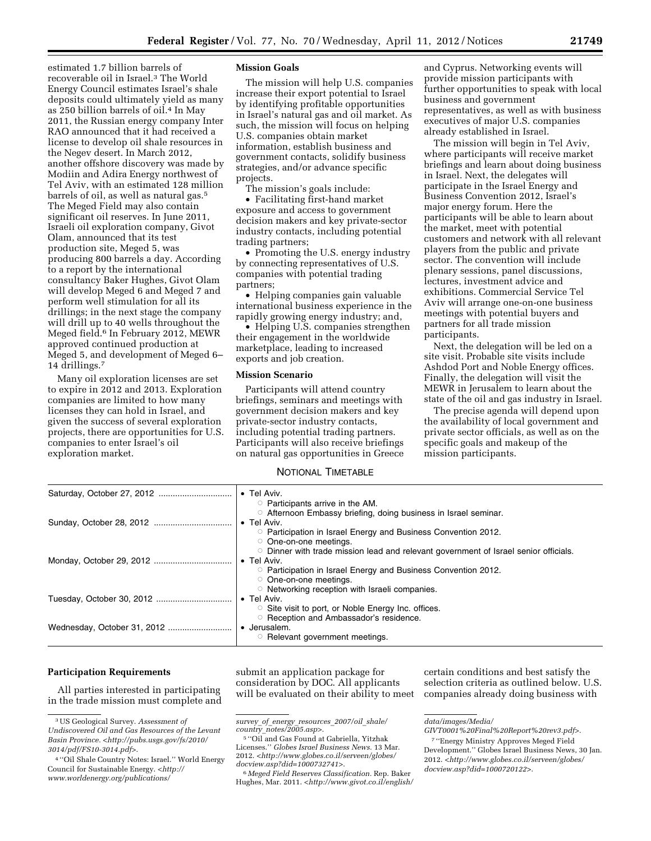estimated 1.7 billion barrels of recoverable oil in Israel.3 The World Energy Council estimates Israel's shale deposits could ultimately yield as many as 250 billion barrels of oil.4 In May 2011, the Russian energy company Inter RAO announced that it had received a license to develop oil shale resources in the Negev desert. In March 2012, another offshore discovery was made by Modiin and Adira Energy northwest of Tel Aviv, with an estimated 128 million barrels of oil, as well as natural gas.5 The Meged Field may also contain significant oil reserves. In June 2011, Israeli oil exploration company, Givot Olam, announced that its test production site, Meged 5, was producing 800 barrels a day. According to a report by the international consultancy Baker Hughes, Givot Olam will develop Meged 6 and Meged 7 and perform well stimulation for all its drillings; in the next stage the company will drill up to 40 wells throughout the Meged field.6 In February 2012, MEWR approved continued production at Meged 5, and development of Meged 6– 14 drillings.7

Many oil exploration licenses are set to expire in 2012 and 2013. Exploration companies are limited to how many licenses they can hold in Israel, and given the success of several exploration projects, there are opportunities for U.S. companies to enter Israel's oil exploration market.

# **Mission Goals**

The mission will help U.S. companies increase their export potential to Israel by identifying profitable opportunities in Israel's natural gas and oil market. As such, the mission will focus on helping U.S. companies obtain market information, establish business and government contacts, solidify business strategies, and/or advance specific projects.

The mission's goals include:

• Facilitating first-hand market exposure and access to government decision makers and key private-sector industry contacts, including potential trading partners;

• Promoting the U.S. energy industry by connecting representatives of U.S. companies with potential trading partners;

• Helping companies gain valuable international business experience in the rapidly growing energy industry; and,

• Helping U.S. companies strengthen their engagement in the worldwide marketplace, leading to increased exports and job creation.

# **Mission Scenario**

Participants will attend country briefings, seminars and meetings with government decision makers and key private-sector industry contacts, including potential trading partners. Participants will also receive briefings on natural gas opportunities in Greece

and Cyprus. Networking events will provide mission participants with further opportunities to speak with local business and government representatives, as well as with business executives of major U.S. companies already established in Israel.

The mission will begin in Tel Aviv, where participants will receive market briefings and learn about doing business in Israel. Next, the delegates will participate in the Israel Energy and Business Convention 2012, Israel's major energy forum. Here the participants will be able to learn about the market, meet with potential customers and network with all relevant players from the public and private sector. The convention will include plenary sessions, panel discussions, lectures, investment advice and exhibitions. Commercial Service Tel Aviv will arrange one-on-one business meetings with potential buyers and partners for all trade mission participants.

Next, the delegation will be led on a site visit. Probable site visits include Ashdod Port and Noble Energy offices. Finally, the delegation will visit the MEWR in Jerusalem to learn about the state of the oil and gas industry in Israel.

The precise agenda will depend upon the availability of local government and private sector officials, as well as on the specific goals and makeup of the mission participants.

### NOTIONAL TIMETABLE

| • Tel Aviv.<br>$\circ$ Participants arrive in the AM.                                                                                                                                                                                    |
|------------------------------------------------------------------------------------------------------------------------------------------------------------------------------------------------------------------------------------------|
| ○ Afternoon Embassy briefing, doing business in Israel seminar.<br>$\bullet$ Tel Aviv.<br><b>D</b> Participation in Israel Energy and Business Convention 2012.                                                                          |
| One-on-one meetings.<br>$\circ$ Dinner with trade mission lead and relevant government of Israel senior officials.<br>$\bullet$ Tel Aviv.<br><b>Participation in Israel Energy and Business Convention 2012.</b><br>One-on-one meetings. |
| ○ Networking reception with Israeli companies.<br>$\bullet$ Tel Aviv.<br>○ Site visit to port, or Noble Energy Inc. offices.                                                                                                             |
| ○ Reception and Ambassador's residence.<br>• Jerusalem.<br><b>C</b> Relevant government meetings.                                                                                                                                        |

## **Participation Requirements**

All parties interested in participating in the trade mission must complete and submit an application package for consideration by DOC. All applicants will be evaluated on their ability to meet

certain conditions and best satisfy the selection criteria as outlined below. U.S. companies already doing business with

<sup>3</sup>US Geological Survey. *Assessment of Undiscovered Oil and Gas Resources of the Levant Basin Province.* <*[http://pubs.usgs.gov/fs/2010/](http://pubs.usgs.gov/fs/2010/3014/pdf/FS10-3014.pdf) [3014/pdf/FS10-3014.pdf](http://pubs.usgs.gov/fs/2010/3014/pdf/FS10-3014.pdf)*>.

<sup>4</sup> ''Oil Shale Country Notes: Israel.'' World Energy Council for Sustainable Energy. <*[http://](http://www.worldenergy.org/publications/survey_of_energy_resources_2007/oil_shale/country_notes/2005.asp) [www.worldenergy.org/publications/](http://www.worldenergy.org/publications/survey_of_energy_resources_2007/oil_shale/country_notes/2005.asp)* 

*survey*\_*of*\_*energy*\_*[resources](http://www.worldenergy.org/publications/survey_of_energy_resources_2007/oil_shale/country_notes/2005.asp)*\_*2007/oil*\_*shale/ country*\_*[notes/2005.asp](http://www.worldenergy.org/publications/survey_of_energy_resources_2007/oil_shale/country_notes/2005.asp)*>.

<sup>5</sup> ''Oil and Gas Found at Gabriella, Yitzhak Licenses.'' *Globes Israel Business News.* 13 Mar. 2012. <*[http://www.globes.co.il/serveen/globes/](http://www.globes.co.il/serveen/globes/docview.asp?did=1000732741) [docview.asp?did=1000732741](http://www.globes.co.il/serveen/globes/docview.asp?did=1000732741)*>.

<sup>6</sup> *Meged Field Reserves Classification.* Rep. Baker Hughes, Mar. 2011. <*[http://www.givot.co.il/english/](http://www.givot.co.il/english/data/images/Media/GIVT0001%20Final%20Report%20rev3.pdf)* 

*[data/images/Media/](http://www.givot.co.il/english/data/images/Media/GIVT0001%20Final%20Report%20rev3.pdf)* 

*[GIVT0001%20Final%20Report%20rev3.pdf](http://www.givot.co.il/english/data/images/Media/GIVT0001%20Final%20Report%20rev3.pdf)*>.

<sup>7</sup> ''Energy Ministry Approves Meged Field Development.'' Globes Israel Business News, 30 Jan. 2012. <*[http://www.globes.co.il/serveen/globes/](http://www.globes.co.il/serveen/globes/docview.asp?did=1000720122) [docview.asp?did=1000720122](http://www.globes.co.il/serveen/globes/docview.asp?did=1000720122)*>.